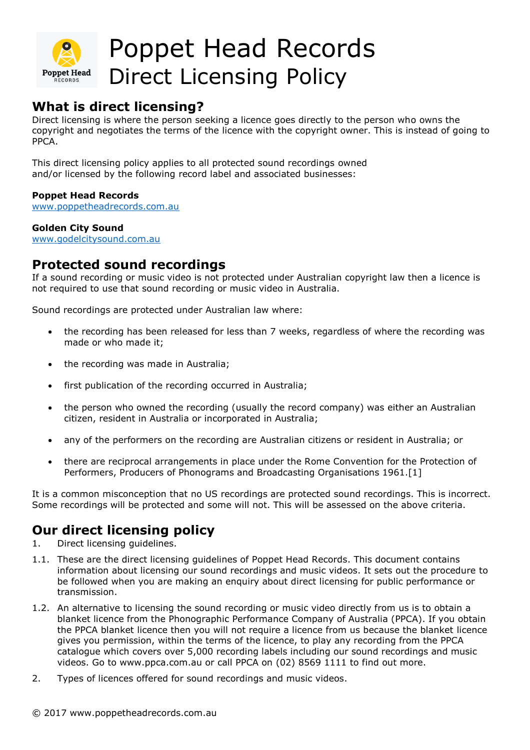

## Poppet Head Records Direct Licensing Policy

## **What is direct licensing?**

Direct licensing is where the person seeking a licence goes directly to the person who owns the copyright and negotiates the terms of the licence with the copyright owner. This is instead of going to PPCA.

This direct licensing policy applies to all protected sound recordings owned and/or licensed by the following record label and associated businesses:

### **Poppet Head Records**

[www.poppetheadrecords.com.au](http://www.poppetheadrecords.com.au/)

#### **Golden City Sound**

[www.godelcitysound.com.au](http://www.godelcitysound.com.au/)

### **Protected sound recordings**

If a sound recording or music video is not protected under Australian copyright law then a licence is not required to use that sound recording or music video in Australia.

Sound recordings are protected under Australian law where:

- the recording has been released for less than 7 weeks, regardless of where the recording was made or who made it;
- the recording was made in Australia;
- first publication of the recording occurred in Australia;
- the person who owned the recording (usually the record company) was either an Australian citizen, resident in Australia or incorporated in Australia;
- any of the performers on the recording are Australian citizens or resident in Australia; or
- there are reciprocal arrangements in place under the Rome Convention for the Protection of Performers, Producers of Phonograms and Broadcasting Organisations 1961.[1]

It is a common misconception that no US recordings are protected sound recordings. This is incorrect. Some recordings will be protected and some will not. This will be assessed on the above criteria.

### **Our direct licensing policy**

- 1. Direct licensing guidelines.
- 1.1. These are the direct licensing guidelines of Poppet Head Records. This document contains information about licensing our sound recordings and music videos. It sets out the procedure to be followed when you are making an enquiry about direct licensing for public performance or transmission.
- 1.2. An alternative to licensing the sound recording or music video directly from us is to obtain a blanket licence from the Phonographic Performance Company of Australia (PPCA). If you obtain the PPCA blanket licence then you will not require a licence from us because the blanket licence gives you permission, within the terms of the licence, to play any recording from the PPCA catalogue which covers over 5,000 recording labels including our sound recordings and music videos. Go to www.ppca.com.au or call PPCA on (02) 8569 1111 to find out more.
- 2. Types of licences offered for sound recordings and music videos.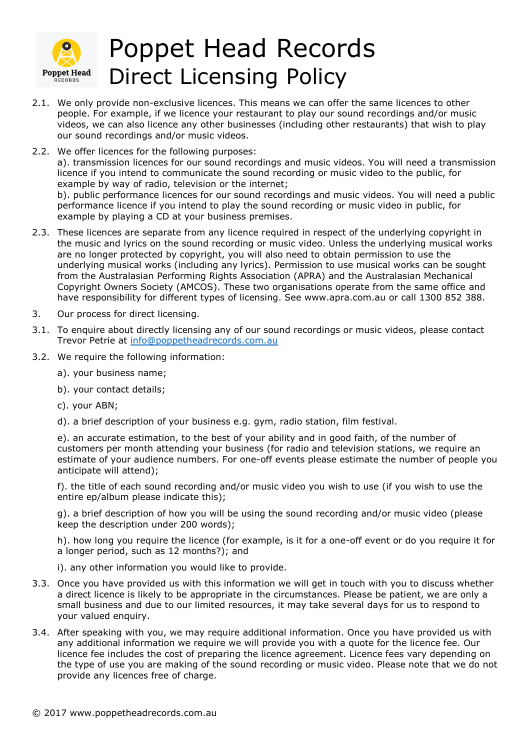

# Poppet Head Records Direct Licensing Policy

- 2.1. We only provide non-exclusive licences. This means we can offer the same licences to other people. For example, if we licence your restaurant to play our sound recordings and/or music videos, we can also licence any other businesses (including other restaurants) that wish to play our sound recordings and/or music videos.
- 2.2. We offer licences for the following purposes: a). transmission licences for our sound recordings and music videos. You will need a transmission licence if you intend to communicate the sound recording or music video to the public, for example by way of radio, television or the internet;

b). public performance licences for our sound recordings and music videos. You will need a public performance licence if you intend to play the sound recording or music video in public, for example by playing a CD at your business premises.

- 2.3. These licences are separate from any licence required in respect of the underlying copyright in the music and lyrics on the sound recording or music video. Unless the underlying musical works are no longer protected by copyright, you will also need to obtain permission to use the underlying musical works (including any lyrics). Permission to use musical works can be sought from the Australasian Performing Rights Association (APRA) and the Australasian Mechanical Copyright Owners Society (AMCOS). These two organisations operate from the same office and have responsibility for different types of licensing. See www.apra.com.au or call 1300 852 388.
- 3. Our process for direct licensing.
- 3.1. To enquire about directly licensing any of our sound recordings or music videos, please contact Trevor Petrie at [info@poppetheadrecords.com.au](mailto:info@poppetheadrecords.com.au)
- 3.2. We require the following information:
	- a). your business name;
	- b). your contact details;
	- c). your ABN;
	- d). a brief description of your business e.g. gym, radio station, film festival.

e). an accurate estimation, to the best of your ability and in good faith, of the number of customers per month attending your business (for radio and television stations, we require an estimate of your audience numbers. For one-off events please estimate the number of people you anticipate will attend);

f). the title of each sound recording and/or music video you wish to use (if you wish to use the entire ep/album please indicate this);

g). a brief description of how you will be using the sound recording and/or music video (please keep the description under 200 words);

h). how long you require the licence (for example, is it for a one-off event or do you require it for a longer period, such as 12 months?); and

i). any other information you would like to provide.

- 3.3. Once you have provided us with this information we will get in touch with you to discuss whether a direct licence is likely to be appropriate in the circumstances. Please be patient, we are only a small business and due to our limited resources, it may take several days for us to respond to your valued enquiry.
- 3.4. After speaking with you, we may require additional information. Once you have provided us with any additional information we require we will provide you with a quote for the licence fee. Our licence fee includes the cost of preparing the licence agreement. Licence fees vary depending on the type of use you are making of the sound recording or music video. Please note that we do not provide any licences free of charge.